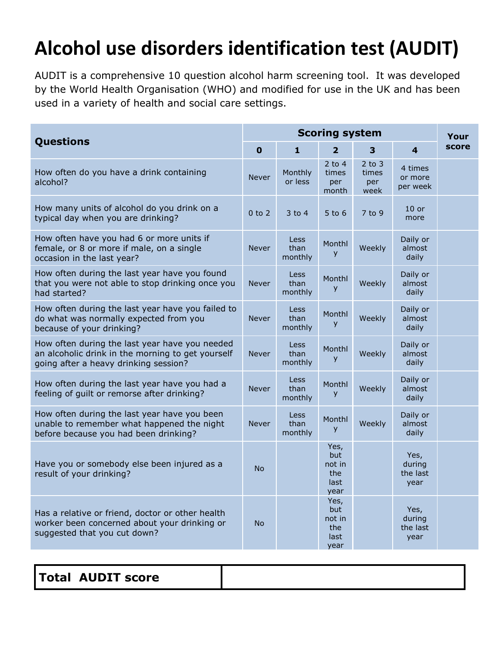## **Alcohol use disorders identification test (AUDIT)**

AUDIT is a comprehensive 10 question alcohol harm screening tool. It was developed by the World Health Organisation (WHO) and modified for use in the UK and has been used in a variety of health and social care settings.

| Questions                                                                                                                                    | <b>Scoring system</b> |                                |                                              |                                    |                                    | Your  |
|----------------------------------------------------------------------------------------------------------------------------------------------|-----------------------|--------------------------------|----------------------------------------------|------------------------------------|------------------------------------|-------|
|                                                                                                                                              | $\mathbf 0$           | $\mathbf{1}$                   | $\mathbf{2}$                                 | 3                                  | $\overline{\mathbf{4}}$            | score |
| How often do you have a drink containing<br>alcohol?                                                                                         | <b>Never</b>          | Monthly<br>or less             | $2$ to 4<br>times<br>per<br>month            | $2$ to $3$<br>times<br>per<br>week | 4 times<br>or more<br>per week     |       |
| How many units of alcohol do you drink on a<br>typical day when you are drinking?                                                            | $0$ to $2$            | $3$ to $4$                     | $5$ to 6                                     | 7 to 9                             | $10$ or<br>more                    |       |
| How often have you had 6 or more units if<br>female, or 8 or more if male, on a single<br>occasion in the last year?                         | <b>Never</b>          | <b>Less</b><br>than<br>monthly | Monthl<br>y                                  | Weekly                             | Daily or<br>almost<br>daily        |       |
| How often during the last year have you found<br>that you were not able to stop drinking once you<br>had started?                            | <b>Never</b>          | <b>Less</b><br>than<br>monthly | Monthl<br>y                                  | Weekly                             | Daily or<br>almost<br>daily        |       |
| How often during the last year have you failed to<br>do what was normally expected from you<br>because of your drinking?                     | <b>Never</b>          | <b>Less</b><br>than<br>monthly | Monthl<br>y                                  | Weekly                             | Daily or<br>almost<br>daily        |       |
| How often during the last year have you needed<br>an alcoholic drink in the morning to get yourself<br>going after a heavy drinking session? | Never                 | <b>Less</b><br>than<br>monthly | Monthl<br>y                                  | Weekly                             | Daily or<br>almost<br>daily        |       |
| How often during the last year have you had a<br>feeling of guilt or remorse after drinking?                                                 | <b>Never</b>          | <b>Less</b><br>than<br>monthly | Monthl<br>y                                  | Weekly                             | Daily or<br>almost<br>daily        |       |
| How often during the last year have you been<br>unable to remember what happened the night<br>before because you had been drinking?          | <b>Never</b>          | Less<br>than<br>monthly        | Monthl<br>y                                  | Weekly                             | Daily or<br>almost<br>daily        |       |
| Have you or somebody else been injured as a<br>result of your drinking?                                                                      | <b>No</b>             |                                | Yes,<br>but<br>not in<br>the<br>last<br>year |                                    | Yes,<br>during<br>the last<br>year |       |
| Has a relative or friend, doctor or other health<br>worker been concerned about your drinking or<br>suggested that you cut down?             | <b>No</b>             |                                | Yes,<br>but<br>not in<br>the<br>last<br>year |                                    | Yes,<br>during<br>the last<br>year |       |

| <b>Total AUDIT score</b> |  |
|--------------------------|--|
|--------------------------|--|